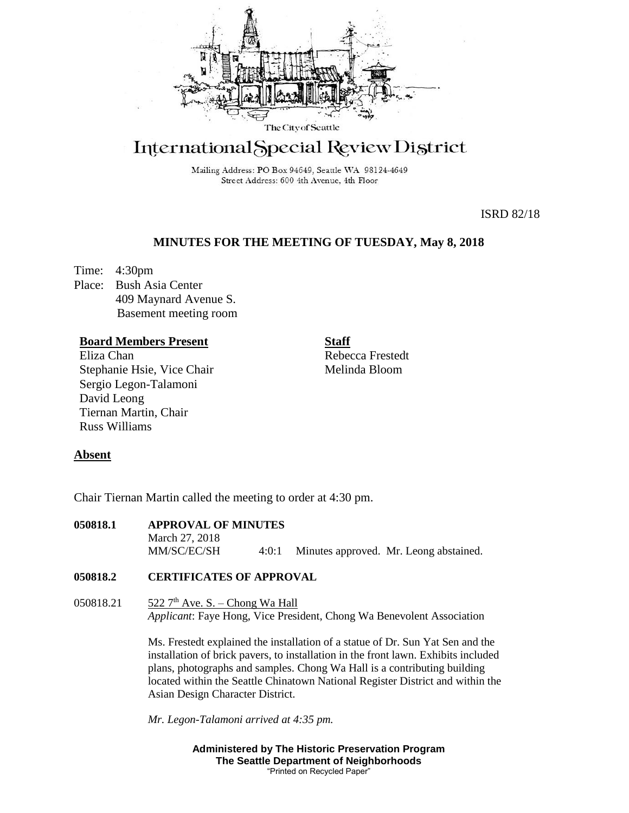

# International Special Review District

Mailing Address: PO Box 94649, Seattle WA 98124-4649 Street Address: 600 4th Avenue, 4th Floor

ISRD 82/18

# **MINUTES FOR THE MEETING OF TUESDAY, May 8, 2018**

Time: 4:30pm Place: Bush Asia Center 409 Maynard Avenue S. Basement meeting room

## **Board Members Present**

Eliza Chan Stephanie Hsie, Vice Chair Sergio Legon-Talamoni David Leong Tiernan Martin, Chair Russ Williams

**Staff** Rebecca Frestedt Melinda Bloom

## **Absent**

Chair Tiernan Martin called the meeting to order at 4:30 pm.

| 050818.1 | <b>APPROVAL OF MINUTES</b> |  |  |                                              |
|----------|----------------------------|--|--|----------------------------------------------|
|          | March 27, 2018             |  |  |                                              |
|          | MM/SC/EC/SH                |  |  | 4:0:1 Minutes approved. Mr. Leong abstained. |

## **050818.2 CERTIFICATES OF APPROVAL**

050818.21  $\frac{522 \, 7^{\text{th}}}{\text{Ave}}$ . S. – Chong Wa Hall *Applicant*: Faye Hong, Vice President, Chong Wa Benevolent Association

> Ms. Frestedt explained the installation of a statue of Dr. Sun Yat Sen and the installation of brick pavers, to installation in the front lawn. Exhibits included plans, photographs and samples. Chong Wa Hall is a contributing building located within the Seattle Chinatown National Register District and within the Asian Design Character District.

*Mr. Legon-Talamoni arrived at 4:35 pm.*

**Administered by The Historic Preservation Program The Seattle Department of Neighborhoods** "Printed on Recycled Paper"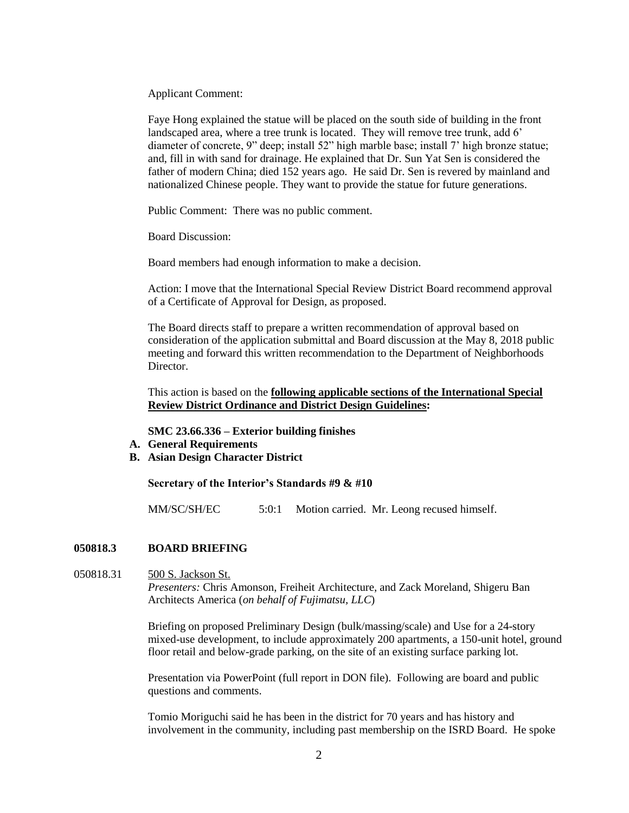Applicant Comment:

Faye Hong explained the statue will be placed on the south side of building in the front landscaped area, where a tree trunk is located. They will remove tree trunk, add 6' diameter of concrete, 9" deep; install 52" high marble base; install 7' high bronze statue; and, fill in with sand for drainage. He explained that Dr. Sun Yat Sen is considered the father of modern China; died 152 years ago. He said Dr. Sen is revered by mainland and nationalized Chinese people. They want to provide the statue for future generations.

Public Comment: There was no public comment.

Board Discussion:

Board members had enough information to make a decision.

Action: I move that the International Special Review District Board recommend approval of a Certificate of Approval for Design, as proposed.

The Board directs staff to prepare a written recommendation of approval based on consideration of the application submittal and Board discussion at the May 8, 2018 public meeting and forward this written recommendation to the Department of Neighborhoods Director.

This action is based on the **following applicable sections of the International Special Review District Ordinance and District Design Guidelines:** 

**SMC 23.66.336 – Exterior building finishes**

- **A. General Requirements**
- **B. Asian Design Character District**

**Secretary of the Interior's Standards #9 & #10**

MM/SC/SH/EC 5:0:1 Motion carried. Mr. Leong recused himself.

## **050818.3 BOARD BRIEFING**

## 050818.31 500 S. Jackson St. *Presenters:* Chris Amonson, Freiheit Architecture, and Zack Moreland, Shigeru Ban Architects America (*on behalf of Fujimatsu, LLC*)

Briefing on proposed Preliminary Design (bulk/massing/scale) and Use for a 24-story mixed-use development, to include approximately 200 apartments, a 150-unit hotel, ground floor retail and below-grade parking, on the site of an existing surface parking lot.

Presentation via PowerPoint (full report in DON file). Following are board and public questions and comments.

Tomio Moriguchi said he has been in the district for 70 years and has history and involvement in the community, including past membership on the ISRD Board. He spoke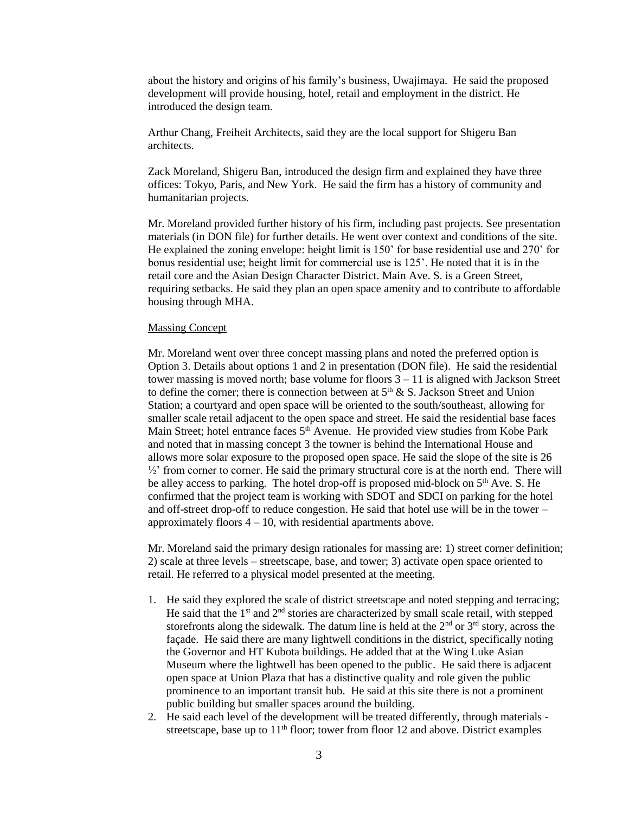about the history and origins of his family's business, Uwajimaya. He said the proposed development will provide housing, hotel, retail and employment in the district. He introduced the design team.

Arthur Chang, Freiheit Architects, said they are the local support for Shigeru Ban architects.

Zack Moreland, Shigeru Ban, introduced the design firm and explained they have three offices: Tokyo, Paris, and New York. He said the firm has a history of community and humanitarian projects.

Mr. Moreland provided further history of his firm, including past projects. See presentation materials (in DON file) for further details. He went over context and conditions of the site. He explained the zoning envelope: height limit is 150' for base residential use and 270' for bonus residential use; height limit for commercial use is 125'. He noted that it is in the retail core and the Asian Design Character District. Main Ave. S. is a Green Street, requiring setbacks. He said they plan an open space amenity and to contribute to affordable housing through MHA.

#### Massing Concept

Mr. Moreland went over three concept massing plans and noted the preferred option is Option 3. Details about options 1 and 2 in presentation (DON file). He said the residential tower massing is moved north; base volume for floors  $3 - 11$  is aligned with Jackson Street to define the corner; there is connection between at  $5<sup>th</sup>$  & S. Jackson Street and Union Station; a courtyard and open space will be oriented to the south/southeast, allowing for smaller scale retail adjacent to the open space and street. He said the residential base faces Main Street; hotel entrance faces  $5<sup>th</sup>$  Avenue. He provided view studies from Kobe Park and noted that in massing concept 3 the towner is behind the International House and allows more solar exposure to the proposed open space. He said the slope of the site is 26  $\frac{1}{2}$  from corner to corner. He said the primary structural core is at the north end. There will be alley access to parking. The hotel drop-off is proposed mid-block on 5<sup>th</sup> Ave. S. He confirmed that the project team is working with SDOT and SDCI on parking for the hotel and off-street drop-off to reduce congestion. He said that hotel use will be in the tower – approximately floors  $4 - 10$ , with residential apartments above.

Mr. Moreland said the primary design rationales for massing are: 1) street corner definition; 2) scale at three levels – streetscape, base, and tower; 3) activate open space oriented to retail. He referred to a physical model presented at the meeting.

- 1. He said they explored the scale of district streetscape and noted stepping and terracing; He said that the 1<sup>st</sup> and 2<sup>nd</sup> stories are characterized by small scale retail, with stepped storefronts along the sidewalk. The datum line is held at the  $2<sup>nd</sup>$  or  $3<sup>rd</sup>$  story, across the façade. He said there are many lightwell conditions in the district, specifically noting the Governor and HT Kubota buildings. He added that at the Wing Luke Asian Museum where the lightwell has been opened to the public. He said there is adjacent open space at Union Plaza that has a distinctive quality and role given the public prominence to an important transit hub. He said at this site there is not a prominent public building but smaller spaces around the building.
- 2. He said each level of the development will be treated differently, through materials streetscape, base up to  $11<sup>th</sup>$  floor; tower from floor 12 and above. District examples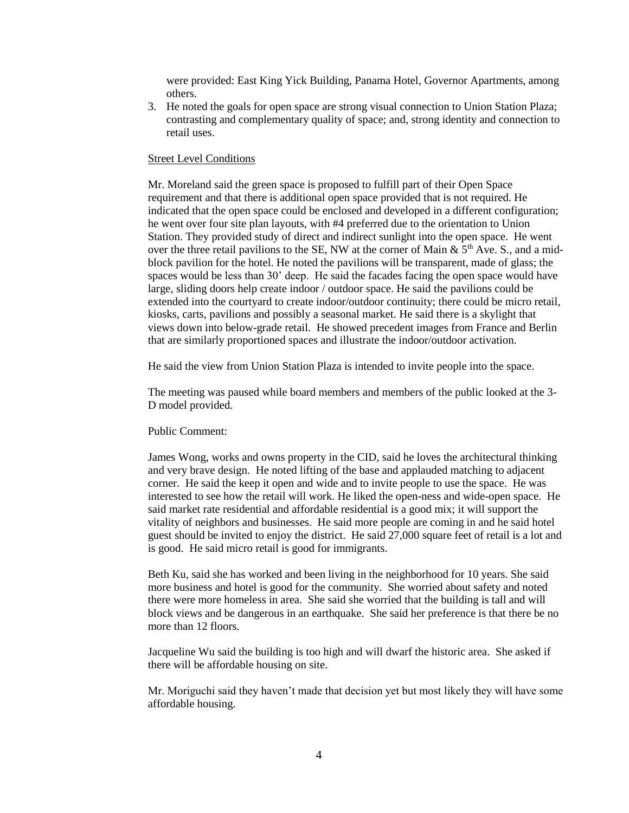were provided: East King Yick Building, Panama Hotel, Governor Apartments, among others.

3. He noted the goals for open space are strong visual connection to Union Station Plaza; contrasting and complementary quality of space; and, strong identity and connection to retail uses.

## Street Level Conditions

Mr. Moreland said the green space is proposed to fulfill part of their Open Space requirement and that there is additional open space provided that is not required. He indicated that the open space could be enclosed and developed in a different configuration; he went over four site plan layouts, with #4 preferred due to the orientation to Union Station. They provided study of direct and indirect sunlight into the open space. He went over the three retail pavilions to the SE, NW at the corner of Main &  $5<sup>th</sup>$  Ave. S., and a midblock pavilion for the hotel. He noted the pavilions will be transparent, made of glass; the spaces would be less than 30' deep. He said the facades facing the open space would have large, sliding doors help create indoor / outdoor space. He said the pavilions could be extended into the courtyard to create indoor/outdoor continuity; there could be micro retail, kiosks, carts, pavilions and possibly a seasonal market. He said there is a skylight that views down into below-grade retail. He showed precedent images from France and Berlin that are similarly proportioned spaces and illustrate the indoor/outdoor activation.

He said the view from Union Station Plaza is intended to invite people into the space.

The meeting was paused while board members and members of the public looked at the 3- D model provided.

#### Public Comment:

James Wong, works and owns property in the CID, said he loves the architectural thinking and very brave design. He noted lifting of the base and applauded matching to adjacent corner. He said the keep it open and wide and to invite people to use the space. He was interested to see how the retail will work. He liked the open-ness and wide-open space. He said market rate residential and affordable residential is a good mix; it will support the vitality of neighbors and businesses. He said more people are coming in and he said hotel guest should be invited to enjoy the district. He said 27,000 square feet of retail is a lot and is good. He said micro retail is good for immigrants.

Beth Ku, said she has worked and been living in the neighborhood for 10 years. She said more business and hotel is good for the community. She worried about safety and noted there were more homeless in area. She said she worried that the building is tall and will block views and be dangerous in an earthquake. She said her preference is that there be no more than 12 floors.

Jacqueline Wu said the building is too high and will dwarf the historic area. She asked if there will be affordable housing on site.

Mr. Moriguchi said they haven't made that decision yet but most likely they will have some affordable housing.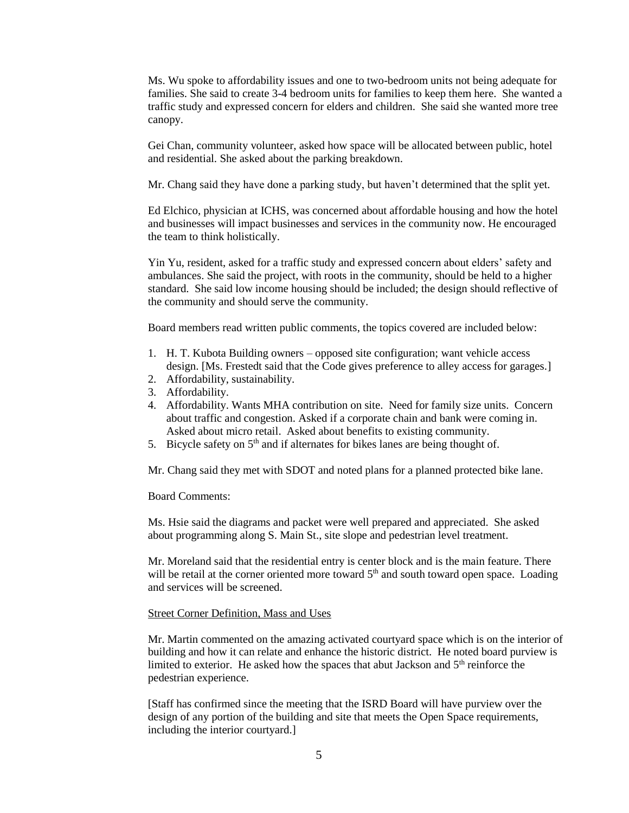Ms. Wu spoke to affordability issues and one to two-bedroom units not being adequate for families. She said to create 3-4 bedroom units for families to keep them here. She wanted a traffic study and expressed concern for elders and children. She said she wanted more tree canopy.

Gei Chan, community volunteer, asked how space will be allocated between public, hotel and residential. She asked about the parking breakdown.

Mr. Chang said they have done a parking study, but haven't determined that the split yet.

Ed Elchico, physician at ICHS, was concerned about affordable housing and how the hotel and businesses will impact businesses and services in the community now. He encouraged the team to think holistically.

Yin Yu, resident, asked for a traffic study and expressed concern about elders' safety and ambulances. She said the project, with roots in the community, should be held to a higher standard. She said low income housing should be included; the design should reflective of the community and should serve the community.

Board members read written public comments, the topics covered are included below:

- 1. H. T. Kubota Building owners opposed site configuration; want vehicle access design. [Ms. Frestedt said that the Code gives preference to alley access for garages.]
- 2. Affordability, sustainability.
- 3. Affordability.
- 4. Affordability. Wants MHA contribution on site. Need for family size units. Concern about traffic and congestion. Asked if a corporate chain and bank were coming in. Asked about micro retail. Asked about benefits to existing community.
- 5. Bicycle safety on  $5<sup>th</sup>$  and if alternates for bikes lanes are being thought of.

Mr. Chang said they met with SDOT and noted plans for a planned protected bike lane.

#### Board Comments:

Ms. Hsie said the diagrams and packet were well prepared and appreciated. She asked about programming along S. Main St., site slope and pedestrian level treatment.

Mr. Moreland said that the residential entry is center block and is the main feature. There will be retail at the corner oriented more toward  $5<sup>th</sup>$  and south toward open space. Loading and services will be screened.

#### Street Corner Definition, Mass and Uses

Mr. Martin commented on the amazing activated courtyard space which is on the interior of building and how it can relate and enhance the historic district. He noted board purview is limited to exterior. He asked how the spaces that abut Jackson and  $5<sup>th</sup>$  reinforce the pedestrian experience.

[Staff has confirmed since the meeting that the ISRD Board will have purview over the design of any portion of the building and site that meets the Open Space requirements, including the interior courtyard.]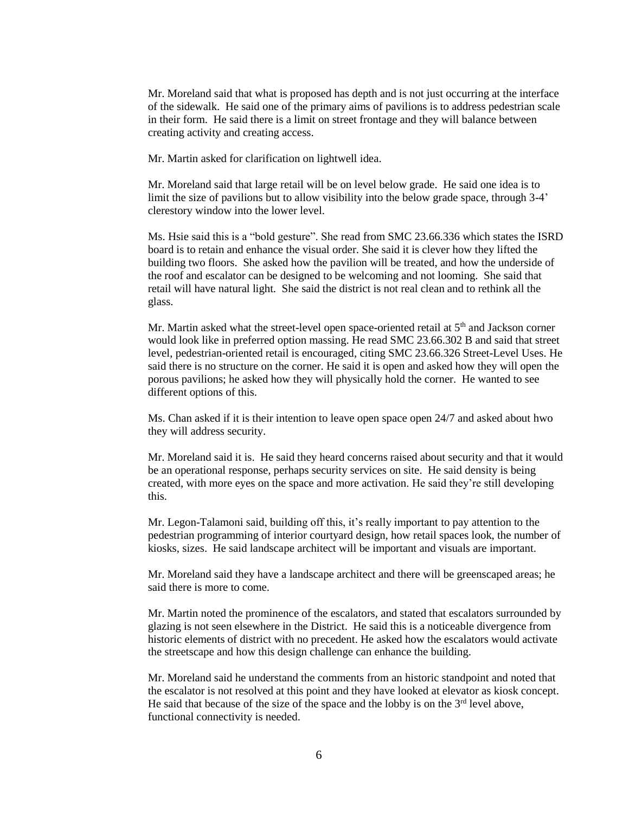Mr. Moreland said that what is proposed has depth and is not just occurring at the interface of the sidewalk. He said one of the primary aims of pavilions is to address pedestrian scale in their form. He said there is a limit on street frontage and they will balance between creating activity and creating access.

Mr. Martin asked for clarification on lightwell idea.

Mr. Moreland said that large retail will be on level below grade. He said one idea is to limit the size of pavilions but to allow visibility into the below grade space, through 3-4' clerestory window into the lower level.

Ms. Hsie said this is a "bold gesture". She read from SMC 23.66.336 which states the ISRD board is to retain and enhance the visual order. She said it is clever how they lifted the building two floors. She asked how the pavilion will be treated, and how the underside of the roof and escalator can be designed to be welcoming and not looming. She said that retail will have natural light. She said the district is not real clean and to rethink all the glass.

Mr. Martin asked what the street-level open space-oriented retail at 5<sup>th</sup> and Jackson corner would look like in preferred option massing. He read SMC 23.66.302 B and said that street level, pedestrian-oriented retail is encouraged, citing SMC 23.66.326 Street-Level Uses. He said there is no structure on the corner. He said it is open and asked how they will open the porous pavilions; he asked how they will physically hold the corner. He wanted to see different options of this.

Ms. Chan asked if it is their intention to leave open space open 24/7 and asked about hwo they will address security.

Mr. Moreland said it is. He said they heard concerns raised about security and that it would be an operational response, perhaps security services on site. He said density is being created, with more eyes on the space and more activation. He said they're still developing this.

Mr. Legon-Talamoni said, building off this, it's really important to pay attention to the pedestrian programming of interior courtyard design, how retail spaces look, the number of kiosks, sizes. He said landscape architect will be important and visuals are important.

Mr. Moreland said they have a landscape architect and there will be greenscaped areas; he said there is more to come.

Mr. Martin noted the prominence of the escalators, and stated that escalators surrounded by glazing is not seen elsewhere in the District. He said this is a noticeable divergence from historic elements of district with no precedent. He asked how the escalators would activate the streetscape and how this design challenge can enhance the building.

Mr. Moreland said he understand the comments from an historic standpoint and noted that the escalator is not resolved at this point and they have looked at elevator as kiosk concept. He said that because of the size of the space and the lobby is on the  $3<sup>rd</sup>$  level above, functional connectivity is needed.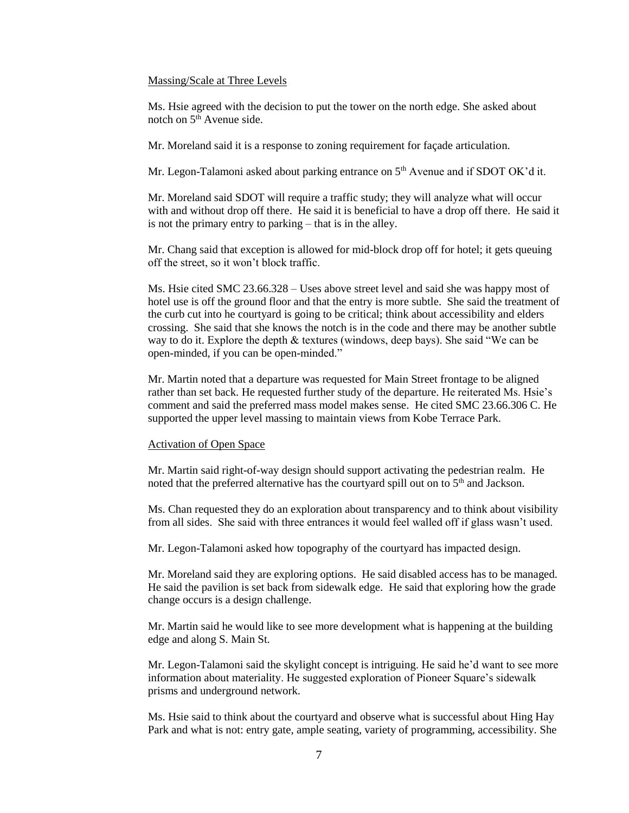#### Massing/Scale at Three Levels

Ms. Hsie agreed with the decision to put the tower on the north edge. She asked about notch on  $5<sup>th</sup>$  Avenue side.

Mr. Moreland said it is a response to zoning requirement for façade articulation.

Mr. Legon-Talamoni asked about parking entrance on 5<sup>th</sup> Avenue and if SDOT OK'd it.

Mr. Moreland said SDOT will require a traffic study; they will analyze what will occur with and without drop off there. He said it is beneficial to have a drop off there. He said it is not the primary entry to parking – that is in the alley.

Mr. Chang said that exception is allowed for mid-block drop off for hotel; it gets queuing off the street, so it won't block traffic.

Ms. Hsie cited SMC 23.66.328 – Uses above street level and said she was happy most of hotel use is off the ground floor and that the entry is more subtle. She said the treatment of the curb cut into he courtyard is going to be critical; think about accessibility and elders crossing. She said that she knows the notch is in the code and there may be another subtle way to do it. Explore the depth & textures (windows, deep bays). She said "We can be open-minded, if you can be open-minded."

Mr. Martin noted that a departure was requested for Main Street frontage to be aligned rather than set back. He requested further study of the departure. He reiterated Ms. Hsie's comment and said the preferred mass model makes sense. He cited SMC 23.66.306 C. He supported the upper level massing to maintain views from Kobe Terrace Park.

#### Activation of Open Space

Mr. Martin said right-of-way design should support activating the pedestrian realm. He noted that the preferred alternative has the courtyard spill out on to 5<sup>th</sup> and Jackson.

Ms. Chan requested they do an exploration about transparency and to think about visibility from all sides. She said with three entrances it would feel walled off if glass wasn't used.

Mr. Legon-Talamoni asked how topography of the courtyard has impacted design.

Mr. Moreland said they are exploring options. He said disabled access has to be managed. He said the pavilion is set back from sidewalk edge. He said that exploring how the grade change occurs is a design challenge.

Mr. Martin said he would like to see more development what is happening at the building edge and along S. Main St.

Mr. Legon-Talamoni said the skylight concept is intriguing. He said he'd want to see more information about materiality. He suggested exploration of Pioneer Square's sidewalk prisms and underground network.

Ms. Hsie said to think about the courtyard and observe what is successful about Hing Hay Park and what is not: entry gate, ample seating, variety of programming, accessibility. She